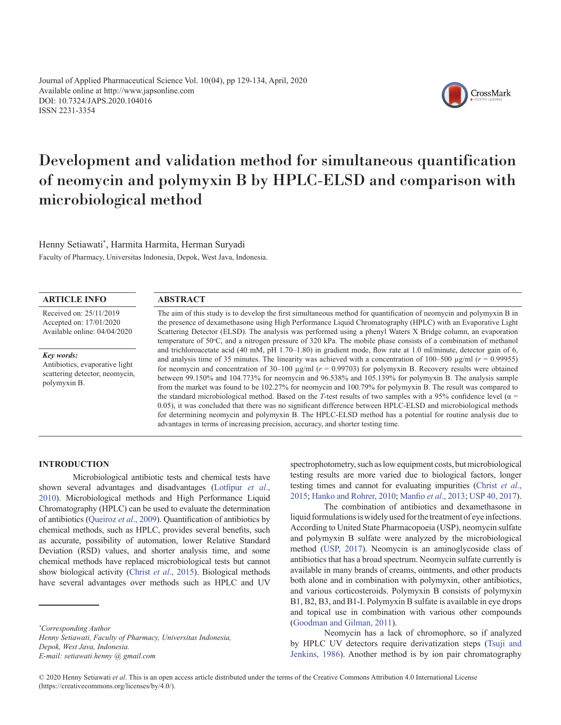Journal of Applied Pharmaceutical Science Vol. 10(04), pp 129-134, April, 2020 Available online at http://www.japsonline.com DOI: 10.7324/JAPS.2020.104016 ISSN 2231-3354



# Development and validation method for simultaneous quantification of neomycin and polymyxin B by HPLC-ELSD and comparison with microbiological method

Henny Setiawati\* , Harmita Harmita, Herman Suryadi Faculty of Pharmacy, Universitas Indonesia, Depok, West Java, Indonesia.

# **ARTICLE INFO**

Received on: 25/11/2019 Accepted on: 17/01/2020 Available online: 04/04/2020

#### *Key words:*

Antibiotics, evaporative light scattering detector, neomycin, polymyxin B.

## **ABSTRACT**

The aim of this study is to develop the first simultaneous method for quantification of neomycin and polymyxin B in the presence of dexamethasone using High Performance Liquid Chromatography (HPLC) with an Evaporative Light Scattering Detector (ELSD). The analysis was performed using a phenyl Waters X Bridge column, an evaporation temperature of 50°C, and a nitrogen pressure of 320 kPa. The mobile phase consists of a combination of methanol and trichloroacetate acid (40 mM, pH 1.70–1.80) in gradient mode, flow rate at 1.0 ml/minute, detector gain of 6, and analysis time of 35 minutes. The linearity was achieved with a concentration of 100–500  $\mu$ g/ml ( $r = 0.99955$ ) for neomycin and concentration of 30–100 µg/ml (*r* = 0.99703) for polymyxin B. Recovery results were obtained between 99.150% and 104.773% for neomycin and 96.538% and 105.139% for polymyxin B. The analysis sample from the market was found to be 102.27% for neomycin and 100.79% for polymyxin B. The result was compared to the standard microbiological method. Based on the *T*-test results of two samples with a 95% confidence level ( $\alpha$  = 0.05), it was concluded that there was no significant difference between HPLC-ELSD and microbiological methods for determining neomycin and polymyxin B. The HPLC-ELSD method has a potential for routine analysis due to advantages in terms of increasing precision, accuracy, and shorter testing time.

## **INTRODUCTION**

Microbiological antibiotic tests and chemical tests have shown several advantages and disadvantages ([Lotfipur](#page-5-0) *et al*., [2010](#page-5-0)). Microbiological methods and High Performance Liquid Chromatography (HPLC) can be used to evaluate the determination of antibiotics ([Queiroz](#page-5-0) *et al*., 2009). Quantification of antibiotics by chemical methods, such as HPLC, provides several benefits, such as accurate, possibility of automation, lower Relative Standard Deviation (RSD) values, and shorter analysis time, and some chemical methods have replaced microbiological tests but cannot show biological activity (Christ *et al*[., 2015](#page-5-0)). Biological methods have several advantages over methods such as HPLC and UV

*Henny Setiawati, Faculty of Pharmacy, Universitas Indonesia, Depok, West Java, Indonesia.* 

*E-mail: [setiawati.henny @ gmail.com](mailto:setiawati.henny@gmail.com)*

spectrophotometry, such as low equipment costs, but microbiological testing results are more varied due to biological factors, longer testing times and cannot for evaluating impurities ([Christ](#page-4-0) *et al*., [2015;](#page-4-0) [Hanko and Rohrer, 2010](#page-4-0); [Manfio](#page-5-0) *et al*., 2013; [USP 40, 2017](#page-5-0)).

The combination of antibiotics and dexamethasone in liquid formulations is widely used for the treatment of eye infections. According to United State Pharmacopoeia (USP), neomycin sulfate and polymyxin B sulfate were analyzed by the microbiological method ([USP, 2017](#page-5-0)). Neomycin is an aminoglycoside class of antibiotics that has a broad spectrum. Neomycin sulfate currently is available in many brands of creams, ointments, and other products both alone and in combination with polymyxin, other antibiotics, and various corticosteroids. Polymyxin B consists of polymyxin B1, B2, B3, and B1-I. Polymyxin B sulfate is available in eye drops and topical use in combination with various other compounds ([Goodman and Gilman, 2011](#page-5-0)).

Neomycin has a lack of chromophore, so if analyzed by HPLC UV detectors require derivatization steps ([Tsuji and](#page-5-0)  [Jenkins, 1986](#page-5-0)). Another method is by ion pair chromatography

*<sup>\*</sup> Corresponding Author*

<sup>© 2020</sup> Henny Setiawati *et al*. This is an open access article distributed under the terms of the Creative Commons Attribution 4.0 International License (https://creativecommons.org/licenses/by/4.0/).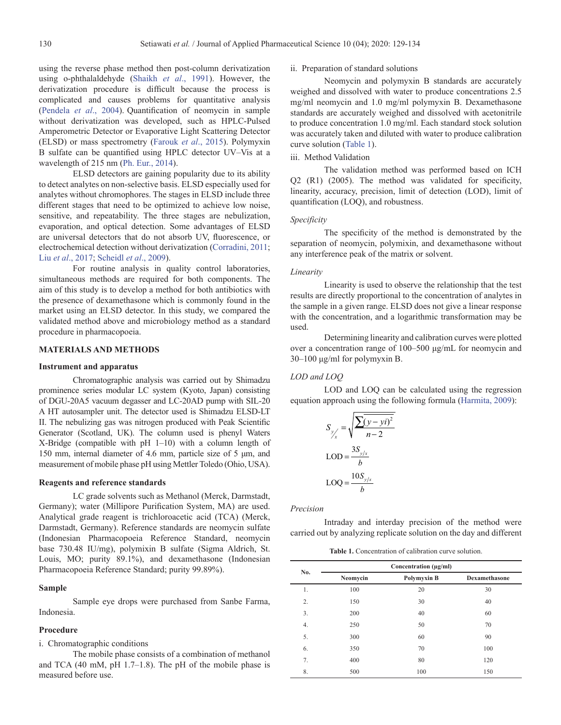using the reverse phase method then post-column derivatization using o-phthalaldehyde (Shaikh *et al*[., 1991](#page-5-0)). However, the derivatization procedure is difficult because the process is complicated and causes problems for quantitative analysis ([Pendela](#page-5-0) *et al*., 2004). Quantification of neomycin in sample without derivatization was developed, such as HPLC-Pulsed Amperometric Detector or Evaporative Light Scattering Detector (ELSD) or mass spectrometry (Farouk *et al*[., 2015](#page-4-0)). Polymyxin B sulfate can be quantified using HPLC detector UV–Vis at a wavelength of 215 nm [\(Ph. Eur., 2014\)](#page-5-0).

ELSD detectors are gaining popularity due to its ability to detect analytes on non-selective basis. ELSD especially used for analytes without chromophores. The stages in ELSD include three different stages that need to be optimized to achieve low noise, sensitive, and repeatability. The three stages are nebulization, evaporation, and optical detection. Some advantages of ELSD are universal detectors that do not absorb UV, fluorescence, or electrochemical detection without derivatization [\(Corradini, 2011](#page-4-0); Liu *et al*[., 2017](#page-5-0); Scheidl *et al*., 2009).

For routine analysis in quality control laboratories, simultaneous methods are required for both components. The aim of this study is to develop a method for both antibiotics with the presence of dexamethasone which is commonly found in the market using an ELSD detector. In this study, we compared the validated method above and microbiology method as a standard procedure in pharmacopoeia.

## **MATERIALS AND METHODS**

## **Instrument and apparatus**

Chromatographic analysis was carried out by Shimadzu prominence series modular LC system (Kyoto, Japan) consisting of DGU-20A5 vacuum degasser and LC-20AD pump with SIL-20 A HT autosampler unit. The detector used is Shimadzu ELSD-LT II. The nebulizing gas was nitrogen produced with Peak Scientific Generator (Scotland, UK). The column used is phenyl Waters X-Bridge (compatible with pH 1–10) with a column length of 150 mm, internal diameter of 4.6 mm, particle size of 5 μm, and measurement of mobile phase pH using Mettler Toledo (Ohio, USA).

## **Reagents and reference standards**

LC grade solvents such as Methanol (Merck, Darmstadt, Germany); water (Millipore Purification System, MA) are used. Analytical grade reagent is trichloroacetic acid (TCA) (Merck, Darmstadt, Germany). Reference standards are neomycin sulfate (Indonesian Pharmacopoeia Reference Standard, neomycin base 730.48 IU/mg), polymixin B sulfate (Sigma Aldrich, St. Louis, MO; purity 89.1%), and dexamethasone (Indonesian Pharmacopoeia Reference Standard; purity 99.89%).

#### **Sample**

Sample eye drops were purchased from Sanbe Farma, Indonesia.

## **Procedure**

i. Chromatographic conditions

The mobile phase consists of a combination of methanol and TCA (40 mM, pH 1.7–1.8). The pH of the mobile phase is measured before use.

# ii. Preparation of standard solutions

Neomycin and polymyxin B standards are accurately weighed and dissolved with water to produce concentrations 2.5 mg/ml neomycin and 1.0 mg/ml polymyxin B. Dexamethasone standards are accurately weighed and dissolved with acetonitrile to produce concentration 1.0 mg/ml. Each standard stock solution was accurately taken and diluted with water to produce calibration curve solution (Table 1).

# iii. Method Validation

The validation method was performed based on ICH Q2 (R1) (2005). The method was validated for specificity, linearity, accuracy, precision, limit of detection (LOD), limit of quantification (LOQ), and robustness.

## *Specificity*

The specificity of the method is demonstrated by the separation of neomycin, polymixin, and dexamethasone without any interference peak of the matrix or solvent.

## *Linearity*

Linearity is used to observe the relationship that the test results are directly proportional to the concentration of analytes in the sample in a given range. ELSD does not give a linear response with the concentration, and a logarithmic transformation may be used.

Determining linearity and calibration curves were plotted over a concentration range of 100–500 μg/mL for neomycin and 30–100 μg/ml for polymyxin B.

# *LOD and LOQ*

LOD and LOQ can be calculated using the regression equation approach using the following formula ([Harmita, 2009](#page-4-0)):

$$
S_{y'_x} = \sqrt{\frac{\sum (y - yi)^2}{n - 2}}
$$

$$
LOD = \frac{3S_{y/x}}{b}
$$

$$
LOQ = \frac{10S_{y/x}}{b}
$$

*Precision*

Intraday and interday precision of the method were carried out by analyzing replicate solution on the day and different

**Table 1.** Concentration of calibration curve solution.

| No. | Concentration (µg/ml) |             |                      |  |  |
|-----|-----------------------|-------------|----------------------|--|--|
|     | Neomycin              | Polymyxin B | <b>Dexamethasone</b> |  |  |
| 1.  | 100                   | 20          | 30                   |  |  |
| 2.  | 150                   | 30          | 40                   |  |  |
| 3.  | 200                   | 40          | 60                   |  |  |
| 4.  | 250                   | 50          | 70                   |  |  |
| 5.  | 300                   | 60          | 90                   |  |  |
| 6.  | 350                   | 70          | 100                  |  |  |
| 7.  | 400                   | 80          | 120                  |  |  |
| 8.  | 500                   | 100         | 150                  |  |  |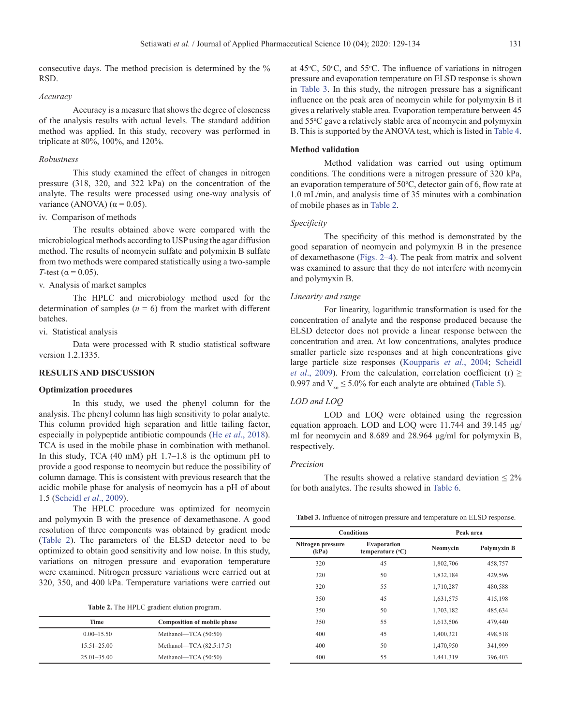consecutive days. The method precision is determined by the % RSD.

#### *Accuracy*

Accuracy is a measure that shows the degree of closeness of the analysis results with actual levels. The standard addition method was applied. In this study, recovery was performed in triplicate at 80%, 100%, and 120%.

## *Robustness*

This study examined the effect of changes in nitrogen pressure (318, 320, and 322 kPa) on the concentration of the analyte. The results were processed using one-way analysis of variance (ANOVA) ( $\alpha$  = 0.05).

## iv. Comparison of methods

The results obtained above were compared with the microbiological methods according to USP using the agar diffusion method. The results of neomycin sulfate and polymixin B sulfate from two methods were compared statistically using a two-sample *T*-test ( $\alpha$  = 0.05).

#### v. Analysis of market samples

The HPLC and microbiology method used for the determination of samples  $(n = 6)$  from the market with different batches.

vi. Statistical analysis

Data were processed with R studio statistical software version 1.2.1335.

# **RESULTS AND DISCUSSION**

# **Optimization procedures**

In this study, we used the phenyl column for the analysis. The phenyl column has high sensitivity to polar analyte. This column provided high separation and little tailing factor, especially in polypeptide antibiotic compounds (He *et al*[., 2018](#page-4-0)). TCA is used in the mobile phase in combination with methanol. In this study, TCA  $(40 \text{ mM})$  pH  $1.7-1.8$  is the optimum pH to provide a good response to neomycin but reduce the possibility of column damage. This is consistent with previous research that the acidic mobile phase for analysis of neomycin has a pH of about 1.5 ([Scheidl](#page-5-0) *et al*., 2009).

The HPLC procedure was optimized for neomycin and polymyxin B with the presence of dexamethasone. A good resolution of three components was obtained by gradient mode (Table 2). The parameters of the ELSD detector need to be optimized to obtain good sensitivity and low noise. In this study, variations on nitrogen pressure and evaporation temperature were examined. Nitrogen pressure variations were carried out at 320, 350, and 400 kPa. Temperature variations were carried out

**Table 2.** The HPLC gradient elution program.

| Time            | <b>Composition of mobile phase</b> |
|-----------------|------------------------------------|
| $0.00 - 15.50$  | Methanol—TCA $(50:50)$             |
| $15.51 - 25.00$ | Methanol—TCA (82.5:17.5)           |
| $25.01 - 35.00$ | Methanol—TCA $(50:50)$             |
|                 |                                    |

at  $45^{\circ}$ C,  $50^{\circ}$ C, and  $55^{\circ}$ C. The influence of variations in nitrogen pressure and evaporation temperature on ELSD response is shown in Table 3. In this study, the nitrogen pressure has a significant influence on the peak area of neomycin while for polymyxin B it gives a relatively stable area. Evaporation temperature between 45 and 55°C gave a relatively stable area of neomycin and polymyxin B. This is supported by the ANOVA test, which is listed in [Table 4](#page-3-0).

# **Method validation**

Method validation was carried out using optimum conditions. The conditions were a nitrogen pressure of 320 kPa, an evaporation temperature of  $50^{\circ}$ C, detector gain of 6, flow rate at 1.0 mL/min, and analysis time of 35 minutes with a combination of mobile phases as in Table 2.

## *Specificity*

The specificity of this method is demonstrated by the good separation of neomycin and polymyxin B in the presence of dexamethasone ([Figs. 2](#page-3-0)[–4](#page-4-0)). The peak from matrix and solvent was examined to assure that they do not interfere with neomycin and polymyxin B.

## *Linearity and range*

For linearity, logarithmic transformation is used for the concentration of analyte and the response produced because the ELSD detector does not provide a linear response between the concentration and area. At low concentrations, analytes produce smaller particle size responses and at high concentrations give large particle size responses ([Koupparis](#page-4-0) *et al*., 2004; [Scheidl](#page-5-0) *et al.*, 2009). From the calculation, correlation coefficient (r)  $\geq$ 0.997 and  $V_{x_0} \le 5.0\%$  for each analyte are obtained ([Table 5](#page-4-0)).

## *LOD and LOQ*

LOD and LOQ were obtained using the regression equation approach. LOD and LOQ were 11.744 and 39.145 μg/ ml for neomycin and 8.689 and 28.964 μg/ml for polymyxin B, respectively.

## *Precision*

The results showed a relative standard deviation  $\leq 2\%$ for both analytes. The results showed in [Table 6](#page-4-0).

**Tabel 3.** Influence of nitrogen pressure and temperature on ELSD response.

|                            | <b>Conditions</b>                               |           | Peak area          |  |  |
|----------------------------|-------------------------------------------------|-----------|--------------------|--|--|
| Nitrogen pressure<br>(kPa) | <b>Evaporation</b><br>temperature $(^{\circ}C)$ | Neomvcin  | <b>Polymyxin B</b> |  |  |
| 320                        | 45                                              | 1,802,706 | 458,757            |  |  |
| 320                        | 50                                              | 1,832,184 | 429,596            |  |  |
| 320                        | 55                                              | 1,710,287 | 480,588            |  |  |
| 350                        | 45                                              | 1,631,575 | 415,198            |  |  |
| 350                        | 50                                              | 1,703,182 | 485,634            |  |  |
| 350                        | 55                                              | 1,613,506 | 479,440            |  |  |
| 400                        | 45                                              | 1,400,321 | 498,518            |  |  |
| 400                        | 50                                              | 1,470,950 | 341,999            |  |  |
| 400                        | 55                                              | 1,441,319 | 396,403            |  |  |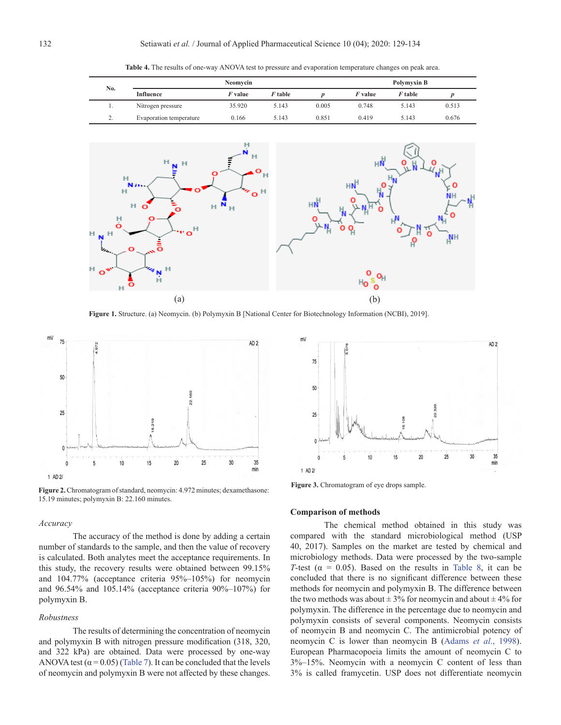<span id="page-3-0"></span>

| No.      | Neomycin                |                |         |       | Polymyxin B    |         |       |
|----------|-------------------------|----------------|---------|-------|----------------|---------|-------|
|          | Influence               | <i>F</i> value | F table |       | <i>F</i> value | F table |       |
|          | Nitrogen pressure       | 35.920         | 5.143   | 0.005 | 0.748          | 5.143   | 0.513 |
| <u>.</u> | Evaporation temperature | 0.166          | 5.143   | 0.851 | 0.419          | 5.143   | 0.676 |

**Table 4.** The results of one-way ANOVA test to pressure and evaporation temperature changes on peak area.



**Figure 1.** Structure. (a) Neomycin. (b) Polymyxin B [National Center for Biotechnology Information (NCBI), 2019].



**Figure 2.** Chromatogram of standard, neomycin: 4.972 minutes; dexamethasone: 15.19 minutes; polymyxin B: 22.160 minutes.

## *Accuracy*

The accuracy of the method is done by adding a certain number of standards to the sample, and then the value of recovery is calculated. Both analytes meet the acceptance requirements. In this study, the recovery results were obtained between 99.15% and 104.77% (acceptance criteria 95%–105%) for neomycin and 96.54% and 105.14% (acceptance criteria 90%–107%) for polymyxin B.

#### *Robustness*

The results of determining the concentration of neomycin and polymyxin B with nitrogen pressure modification (318, 320, and 322 kPa) are obtained. Data were processed by one-way ANOVA test ( $\alpha$  = 0.05) ([Table 7](#page-4-0)). It can be concluded that the levels of neomycin and polymyxin B were not affected by these changes.



**Figure 3.** Chromatogram of eye drops sample.

#### **Comparison of methods**

The chemical method obtained in this study was compared with the standard microbiological method (USP 40, 2017). Samples on the market are tested by chemical and microbiology methods. Data were processed by the two-sample *T*-test ( $\alpha = 0.05$ ). Based on the results in [Table 8](#page-4-0), it can be concluded that there is no significant difference between these methods for neomycin and polymyxin B. The difference between the two methods was about  $\pm$  3% for neomycin and about  $\pm$  4% for polymyxin. The difference in the percentage due to neomycin and polymyxin consists of several components. Neomycin consists of neomycin B and neomycin C. The antimicrobial potency of neomycin C is lower than neomycin B (Adams *et al*[., 1998\)](#page-4-0). European Pharmacopoeia limits the amount of neomycin C to 3%–15%. Neomycin with a neomycin C content of less than 3% is called framycetin. USP does not differentiate neomycin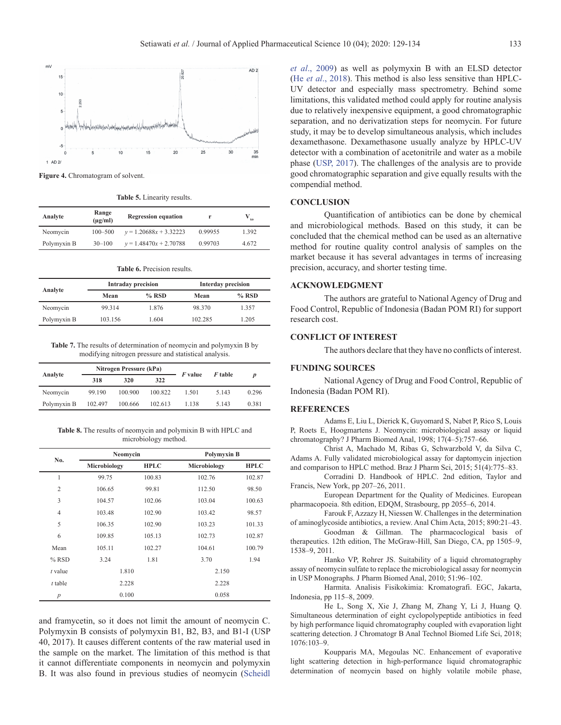<span id="page-4-0"></span>

**Figure 4.** Chromatogram of solvent.

**Table 5.** Linearity results.

| Analyte     | Range<br>$(\mu g/ml)$ | <b>Regression equation</b> |         |       |
|-------------|-----------------------|----------------------------|---------|-------|
| Neomycin    | $100 - 500$           | $v = 1.20688x + 3.32223$   | 0.99955 | 1.392 |
| Polymyxin B | $30 - 100$            | $v = 1.48470x + 2.70788$   | 0.99703 | 4.672 |

**Table 6.** Precision results.

| Analyte     |         | <b>Intraday precision</b> | <b>Interday precision</b> |         |
|-------------|---------|---------------------------|---------------------------|---------|
|             | Mean    | $%$ RSD                   | Mean                      | $%$ RSD |
| Neomycin    | 99.314  | 1.876                     | 98.370                    | 1.357   |
| Polymyxin B | 103.156 | 1.604                     | 102.285                   | 1.205   |

**Table 7.** The results of determination of neomycin and polymyxin B by modifying nitrogen pressure and statistical analysis.

|             | Nitrogen Pressure (kPa) |         |         |                |         |                  |
|-------------|-------------------------|---------|---------|----------------|---------|------------------|
| Analyte     | 318                     | 320     | 322     | <i>F</i> value | F table | $\boldsymbol{D}$ |
| Neomycin    | 99.190                  | 100.900 | 100.822 | 1.501          | 5.143   | 0.296            |
| Polymyxin B | 102.497                 | 100.666 | 102.613 | 1.138          | 5.143   | 0.381            |

**Table 8.** The results of neomycin and polymixin B with HPLC and microbiology method.

| No.              | Neomycin     |             | <b>Polymyxin B</b> |             |
|------------------|--------------|-------------|--------------------|-------------|
|                  | Microbiology | <b>HPLC</b> | Microbiology       | <b>HPLC</b> |
| $\mathbf{1}$     | 99.75        | 100.83      | 102.76             | 102.87      |
| $\overline{2}$   | 106.65       | 99.81       | 112.50             | 98.50       |
| 3                | 104.57       | 102.06      | 103.04             | 100.63      |
| $\overline{4}$   | 103.48       | 102.90      | 103.42             | 98.57       |
| 5                | 106.35       | 102.90      | 103.23             | 101.33      |
| 6                | 109.85       | 105.13      | 102.73             | 102.87      |
| Mean             | 105.11       | 102.27      | 104.61             | 100.79      |
| $%$ RSD          | 3.24         | 1.81        | 3.70               | 1.94        |
| t value          | 1.810        |             | 2.150              |             |
| $t$ table        | 2.228        |             | 2.228              |             |
| $\boldsymbol{p}$ | 0.100        |             | 0.058              |             |

and framycetin, so it does not limit the amount of neomycin C. Polymyxin B consists of polymyxin B1, B2, B3, and B1-I (USP 40, 2017). It causes different contents of the raw material used in the sample on the market. The limitation of this method is that it cannot differentiate components in neomycin and polymyxin B. It was also found in previous studies of neomycin ([Scheidl](#page-5-0)

*et al*[., 2009](#page-5-0)) as well as polymyxin B with an ELSD detector (He *et al*., 2018). This method is also less sensitive than HPLC-UV detector and especially mass spectrometry. Behind some limitations, this validated method could apply for routine analysis due to relatively inexpensive equipment, a good chromatographic separation, and no derivatization steps for neomycin. For future study, it may be to develop simultaneous analysis, which includes dexamethasone. Dexamethasone usually analyze by HPLC-UV detector with a combination of acetonitrile and water as a mobile phase ([USP, 2017](#page-5-0)). The challenges of the analysis are to provide good chromatographic separation and give equally results with the compendial method.

## **CONCLUSION**

Quantification of antibiotics can be done by chemical and microbiological methods. Based on this study, it can be concluded that the chemical method can be used as an alternative method for routine quality control analysis of samples on the market because it has several advantages in terms of increasing precision, accuracy, and shorter testing time.

## **ACKNOWLEDGMENT**

The authors are grateful to National Agency of Drug and Food Control, Republic of Indonesia (Badan POM RI) for support research cost.

# **CONFLICT OF INTEREST**

The authors declare that they have no conflicts of interest.

# **FUNDING SOURCES**

National Agency of Drug and Food Control, Republic of Indonesia (Badan POM RI).

## **REFERENCES**

Adams E, Liu L, Dierick K, Guyomard S, Nabet P, Rico S, Louis P, Roets E, Hoogmartens J. Neomycin: microbiological assay or liquid chromatography? J Pharm Biomed Anal, 1998; 17(4–5):757–66.

Christ A, Machado M, Ribas G, Schwarzbold V, da Silva C, Adams A. Fully validated microbiological assay for daptomycin injection and comparison to HPLC method. Braz J Pharm Sci, 2015; 51(4):775–83.

Corradini D. Handbook of HPLC. 2nd edition, Taylor and Francis, New York, pp 207–26, 2011.

European Department for the Quality of Medicines. European pharmacopoeia. 8th edition, EDQM, Strasbourg, pp 2055–6, 2014.

Farouk F, Azzazy H, Niessen W. Challenges in the determination of aminoglycoside antibiotics, a review. Anal Chim Acta, 2015; 890:21–43.

Goodman & Gillman. The pharmacoclogical basis of therapeutics. 12th edition, The McGraw-Hill, San Diego, CA, pp 1505–9, 1538–9, 2011.

Hanko VP, Rohrer JS. Suitability of a liquid chromatography assay of neomycin sulfate to replace the microbiological assay for neomycin in USP Monographs. J Pharm Biomed Anal, 2010; 51:96–102.

Harmita. Analisis Fisikokimia: Kromatografi. EGC, Jakarta, Indonesia, pp 115–8, 2009.

He L, Song X, Xie J, Zhang M, Zhang Y, Li J, Huang Q. Simultaneous determination of eight cyclopolypeptide antibiotics in feed by high performance liquid chromatography coupled with evaporation light scattering detection. J Chromatogr B Anal Technol Biomed Life Sci, 2018; 1076:103–9.

Koupparis MA, Megoulas NC. Enhancement of evaporative light scattering detection in high-performance liquid chromatographic determination of neomycin based on highly volatile mobile phase,